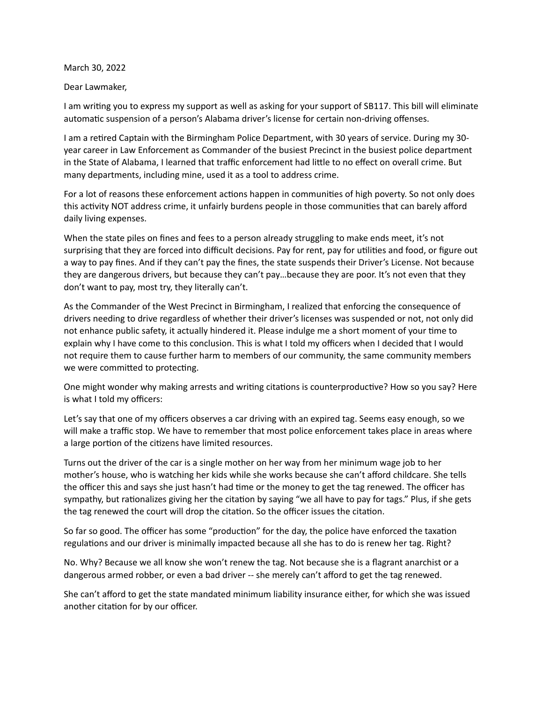March 30, 2022

Dear Lawmaker,

I am writing you to express my support as well as asking for your support of SB117. This bill will eliminate automatic suspension of a person's Alabama driver's license for certain non-driving offenses.

I am a retired Captain with the Birmingham Police Department, with 30 years of service. During my 30 year career in Law Enforcement as Commander of the busiest Precinct in the busiest police department in the State of Alabama, I learned that traffic enforcement had little to no effect on overall crime. But many departments, including mine, used it as a tool to address crime.

For a lot of reasons these enforcement actions happen in communities of high poverty. So not only does this activity NOT address crime, it unfairly burdens people in those communities that can barely afford daily living expenses.

When the state piles on fines and fees to a person already struggling to make ends meet, it's not surprising that they are forced into difficult decisions. Pay for rent, pay for utilities and food, or figure out a way to pay fines. And if they can't pay the fines, the state suspends their Driver's License. Not because they are dangerous drivers, but because they can't pay…because they are poor. It's not even that they don't want to pay, most try, they literally can't.

As the Commander of the West Precinct in Birmingham, I realized that enforcing the consequence of drivers needing to drive regardless of whether their driver's licenses was suspended or not, not only did not enhance public safety, it actually hindered it. Please indulge me a short moment of your time to explain why I have come to this conclusion. This is what I told my officers when I decided that I would not require them to cause further harm to members of our community, the same community members we were committed to protecting.

One might wonder why making arrests and writing citations is counterproductive? How so you say? Here is what I told my officers:

Let's say that one of my officers observes a car driving with an expired tag. Seems easy enough, so we will make a traffic stop. We have to remember that most police enforcement takes place in areas where a large portion of the citizens have limited resources.

Turns out the driver of the car is a single mother on her way from her minimum wage job to her mother's house, who is watching her kids while she works because she can't afford childcare. She tells the officer this and says she just hasn't had time or the money to get the tag renewed. The officer has sympathy, but rationalizes giving her the citation by saying "we all have to pay for tags." Plus, if she gets the tag renewed the court will drop the citation. So the officer issues the citation.

So far so good. The officer has some "production" for the day, the police have enforced the taxation regulations and our driver is minimally impacted because all she has to do is renew her tag. Right?

No. Why? Because we all know she won't renew the tag. Not because she is a flagrant anarchist or a dangerous armed robber, or even a bad driver -- she merely can't afford to get the tag renewed.

She can't afford to get the state mandated minimum liability insurance either, for which she was issued another citation for by our officer.